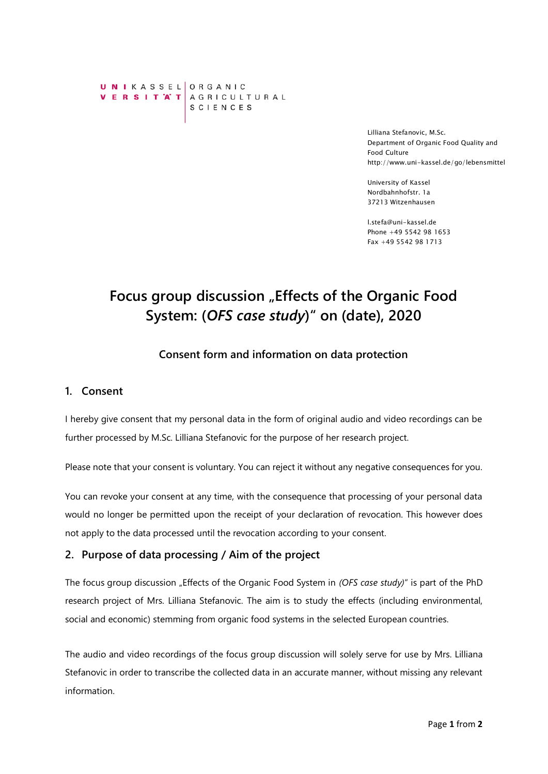UNIKASSEL ORGANIC VERSITAT AGRICULTURAL SCIENCES

> Lilliana Stefanovic, M.Sc. Department of Organic Food Quality and Food Culture http://www.uni-kassel.de/go/lebensmittel

University of Kassel Nordbahnhofstr. 1a 37213 Witzenhausen

l.stefa@uni-kassel.de Phone +49 5542 98 1653 Fax +49 5542 98 1713

# Focus group discussion "Effects of the Organic Food **System: (***OFS case study***)" on (date), 2020**

## **Consent form and information on data protection**

#### **1. Consent**

I hereby give consent that my personal data in the form of original audio and video recordings can be further processed by M.Sc. Lilliana Stefanovic for the purpose of her research project.

Please note that your consent is voluntary. You can reject it without any negative consequences for you.

You can revoke your consent at any time, with the consequence that processing of your personal data would no longer be permitted upon the receipt of your declaration of revocation. This however does not apply to the data processed until the revocation according to your consent.

#### **2. Purpose of data processing / Aim of the project**

The focus group discussion "Effects of the Organic Food System in *(OFS case study)*" is part of the PhD research project of Mrs. Lilliana Stefanovic. The aim is to study the effects (including environmental, social and economic) stemming from organic food systems in the selected European countries.

The audio and video recordings of the focus group discussion will solely serve for use by Mrs. Lilliana Stefanovic in order to transcribe the collected data in an accurate manner, without missing any relevant information.